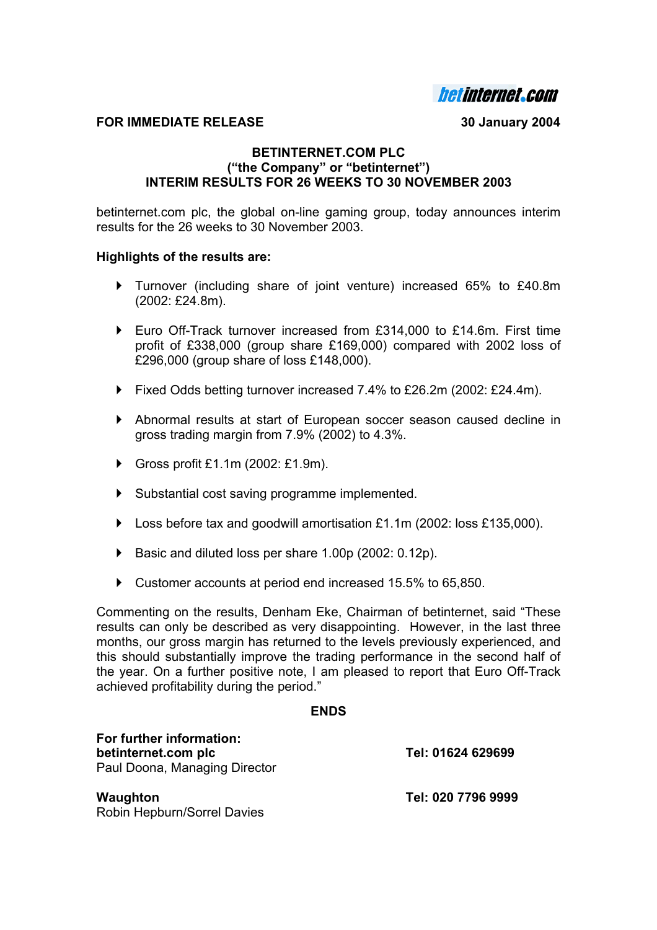**hetinternet.com** 

### **FOR IMMEDIATE RELEASE 30 January 2004**

### **BETINTERNET.COM PLC ("the Company" or "betinternet") INTERIM RESULTS FOR 26 WEEKS TO 30 NOVEMBER 2003**

betinternet.com plc, the global on-line gaming group, today announces interim results for the 26 weeks to 30 November 2003.

### **Highlights of the results are:**

- ` Turnover (including share of joint venture) increased 65% to £40.8m (2002: £24.8m).
- Euro Off-Track turnover increased from  $£314,000$  to  $£14.6$ m. First time profit of £338,000 (group share £169,000) compared with 2002 loss of £296,000 (group share of loss £148,000).
- ▶ Fixed Odds betting turnover increased 7.4% to £26.2m (2002: £24.4m).
- ` Abnormal results at start of European soccer season caused decline in gross trading margin from 7.9% (2002) to 4.3%.
- ▶ Gross profit £1.1m (2002: £1.9m).
- ` Substantial cost saving programme implemented.
- $\blacktriangleright$  Loss before tax and goodwill amortisation £1.1m (2002: loss £135,000).
- Basic and diluted loss per share 1.00p (2002: 0.12p).
- Customer accounts at period end increased 15.5% to 65,850.

Commenting on the results, Denham Eke, Chairman of betinternet, said "These results can only be described as very disappointing. However, in the last three months, our gross margin has returned to the levels previously experienced, and this should substantially improve the trading performance in the second half of the year. On a further positive note, I am pleased to report that Euro Off-Track achieved profitability during the period."

#### **ENDS**

| For further information:<br>betinternet.com plc<br>Paul Doona, Managing Director | Tel: 01624 629699  |  |  |
|----------------------------------------------------------------------------------|--------------------|--|--|
| Waughton                                                                         | Tel: 020 7796 9999 |  |  |

Robin Hepburn/Sorrel Davies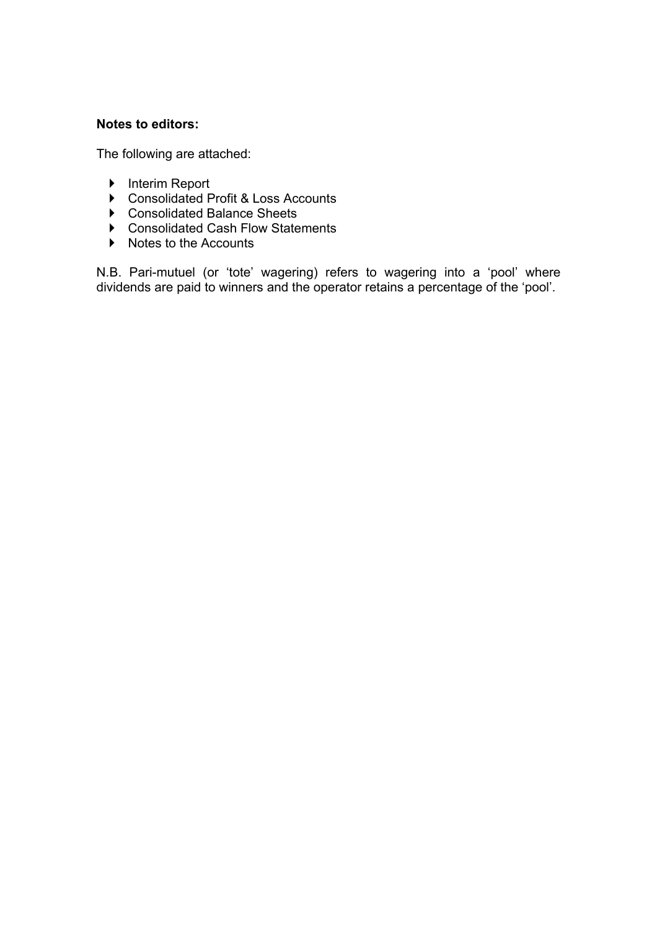# **Notes to editors:**

The following are attached:

- ▶ Interim Report
- ▶ Consolidated Profit & Loss Accounts
- ▶ Consolidated Balance Sheets
- ▶ Consolidated Cash Flow Statements
- $\triangleright$  Notes to the Accounts

N.B. Pari-mutuel (or 'tote' wagering) refers to wagering into a 'pool' where dividends are paid to winners and the operator retains a percentage of the 'pool'.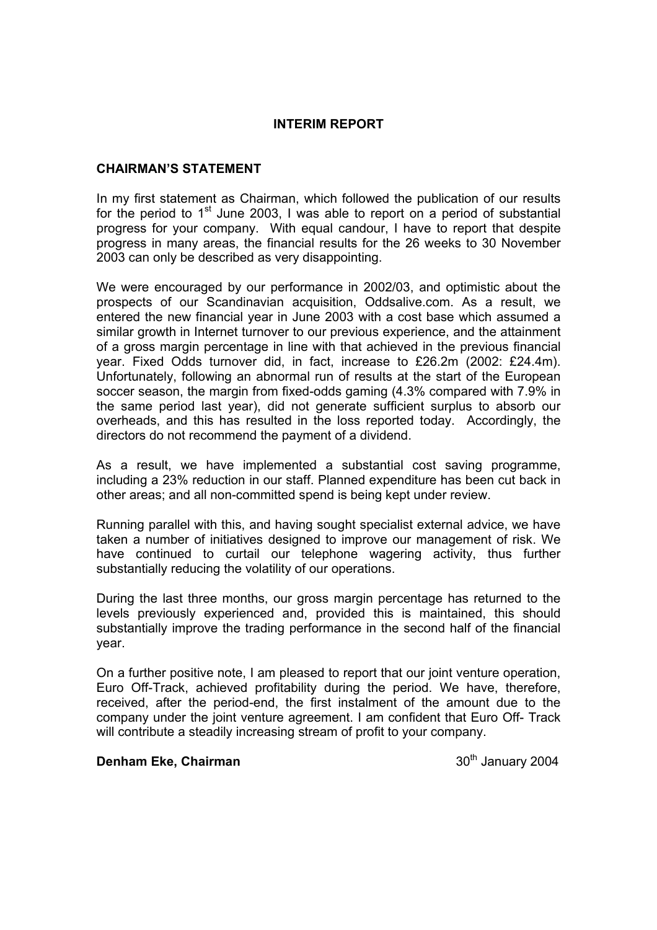### **INTERIM REPORT**

# **CHAIRMAN'S STATEMENT**

In my first statement as Chairman, which followed the publication of our results for the period to  $1<sup>st</sup>$  June 2003. I was able to report on a period of substantial progress for your company. With equal candour, I have to report that despite progress in many areas, the financial results for the 26 weeks to 30 November 2003 can only be described as very disappointing.

We were encouraged by our performance in 2002/03, and optimistic about the prospects of our Scandinavian acquisition, Oddsalive.com. As a result, we entered the new financial year in June 2003 with a cost base which assumed a similar growth in Internet turnover to our previous experience, and the attainment of a gross margin percentage in line with that achieved in the previous financial year. Fixed Odds turnover did, in fact, increase to £26.2m (2002: £24.4m). Unfortunately, following an abnormal run of results at the start of the European soccer season, the margin from fixed-odds gaming (4.3% compared with 7.9% in the same period last year), did not generate sufficient surplus to absorb our overheads, and this has resulted in the loss reported today. Accordingly, the directors do not recommend the payment of a dividend.

As a result, we have implemented a substantial cost saving programme, including a 23% reduction in our staff. Planned expenditure has been cut back in other areas; and all non-committed spend is being kept under review.

Running parallel with this, and having sought specialist external advice, we have taken a number of initiatives designed to improve our management of risk. We have continued to curtail our telephone wagering activity, thus further substantially reducing the volatility of our operations.

During the last three months, our gross margin percentage has returned to the levels previously experienced and, provided this is maintained, this should substantially improve the trading performance in the second half of the financial year.

On a further positive note, I am pleased to report that our joint venture operation, Euro Off-Track, achieved profitability during the period. We have, therefore, received, after the period-end, the first instalment of the amount due to the company under the joint venture agreement. I am confident that Euro Off- Track will contribute a steadily increasing stream of profit to your company.

# **Denham Eke, Chairman** 30<sup>th</sup> January 2004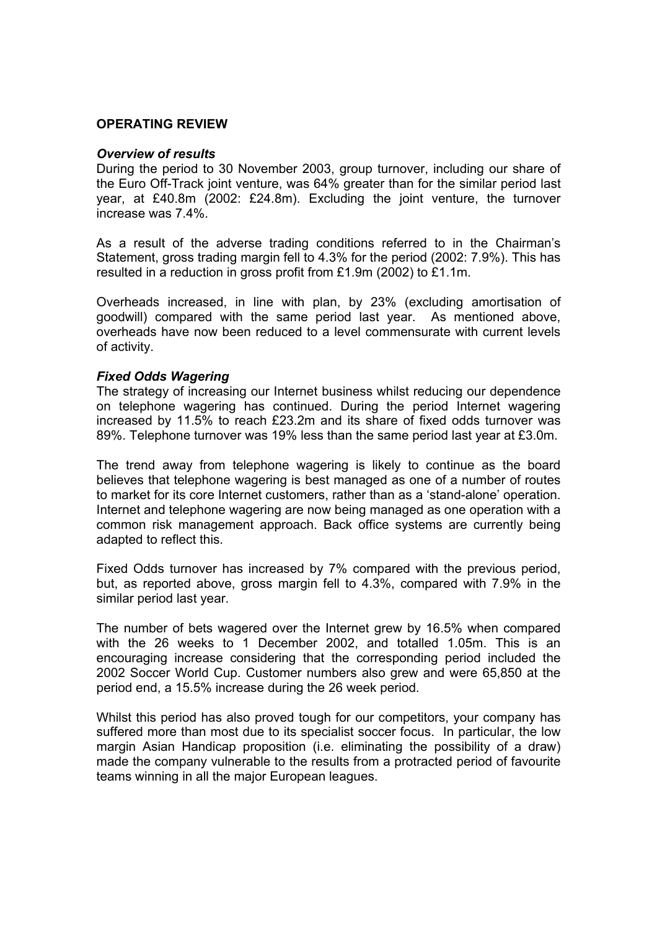### **OPERATING REVIEW**

#### *Overview of results*

During the period to 30 November 2003, group turnover, including our share of the Euro Off-Track joint venture, was 64% greater than for the similar period last year, at £40.8m (2002: £24.8m). Excluding the joint venture, the turnover increase was 7.4%.

As a result of the adverse trading conditions referred to in the Chairman's Statement, gross trading margin fell to 4.3% for the period (2002: 7.9%). This has resulted in a reduction in gross profit from £1.9m (2002) to £1.1m.

Overheads increased, in line with plan, by 23% (excluding amortisation of goodwill) compared with the same period last year. As mentioned above, overheads have now been reduced to a level commensurate with current levels of activity.

### *Fixed Odds Wagering*

The strategy of increasing our Internet business whilst reducing our dependence on telephone wagering has continued. During the period Internet wagering increased by 11.5% to reach £23.2m and its share of fixed odds turnover was 89%. Telephone turnover was 19% less than the same period last year at £3.0m.

The trend away from telephone wagering is likely to continue as the board believes that telephone wagering is best managed as one of a number of routes to market for its core Internet customers, rather than as a 'stand-alone' operation. Internet and telephone wagering are now being managed as one operation with a common risk management approach. Back office systems are currently being adapted to reflect this.

Fixed Odds turnover has increased by 7% compared with the previous period, but, as reported above, gross margin fell to 4.3%, compared with 7.9% in the similar period last year.

The number of bets wagered over the Internet grew by 16.5% when compared with the 26 weeks to 1 December 2002, and totalled 1.05m. This is an encouraging increase considering that the corresponding period included the 2002 Soccer World Cup. Customer numbers also grew and were 65,850 at the period end, a 15.5% increase during the 26 week period.

Whilst this period has also proved tough for our competitors, your company has suffered more than most due to its specialist soccer focus. In particular, the low margin Asian Handicap proposition (i.e. eliminating the possibility of a draw) made the company vulnerable to the results from a protracted period of favourite teams winning in all the major European leagues.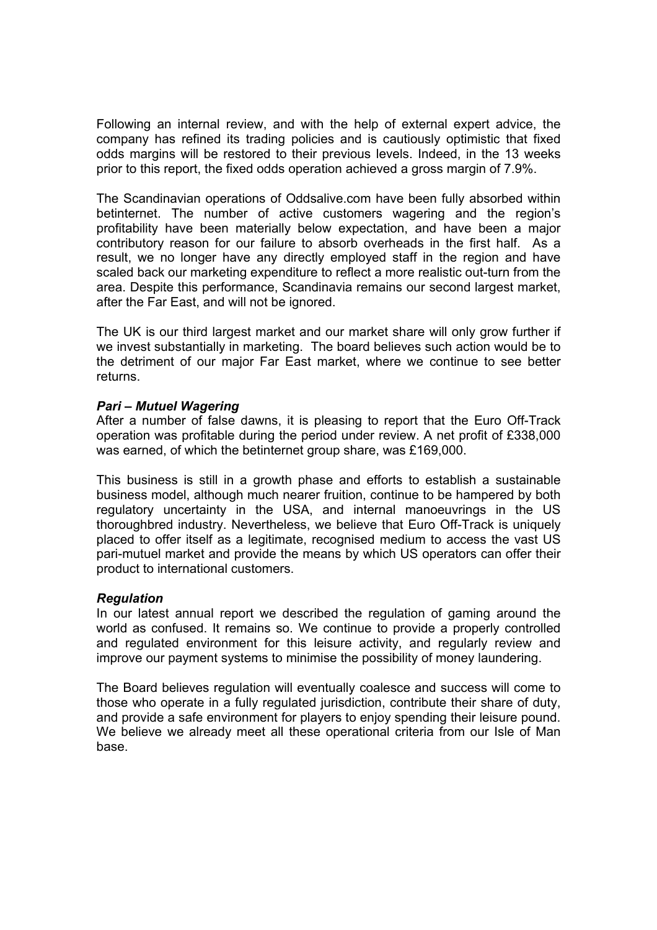Following an internal review, and with the help of external expert advice, the company has refined its trading policies and is cautiously optimistic that fixed odds margins will be restored to their previous levels. Indeed, in the 13 weeks prior to this report, the fixed odds operation achieved a gross margin of 7.9%.

The Scandinavian operations of Oddsalive.com have been fully absorbed within betinternet. The number of active customers wagering and the region's profitability have been materially below expectation, and have been a major contributory reason for our failure to absorb overheads in the first half. As a result, we no longer have any directly employed staff in the region and have scaled back our marketing expenditure to reflect a more realistic out-turn from the area. Despite this performance, Scandinavia remains our second largest market, after the Far East, and will not be ignored.

The UK is our third largest market and our market share will only grow further if we invest substantially in marketing. The board believes such action would be to the detriment of our major Far East market, where we continue to see better returns.

### *Pari – Mutuel Wagering*

After a number of false dawns, it is pleasing to report that the Euro Off-Track operation was profitable during the period under review. A net profit of £338,000 was earned, of which the betinternet group share, was £169,000.

This business is still in a growth phase and efforts to establish a sustainable business model, although much nearer fruition, continue to be hampered by both regulatory uncertainty in the USA, and internal manoeuvrings in the US thoroughbred industry. Nevertheless, we believe that Euro Off-Track is uniquely placed to offer itself as a legitimate, recognised medium to access the vast US pari-mutuel market and provide the means by which US operators can offer their product to international customers.

### *Regulation*

In our latest annual report we described the regulation of gaming around the world as confused. It remains so. We continue to provide a properly controlled and regulated environment for this leisure activity, and regularly review and improve our payment systems to minimise the possibility of money laundering.

The Board believes regulation will eventually coalesce and success will come to those who operate in a fully regulated jurisdiction, contribute their share of duty, and provide a safe environment for players to enjoy spending their leisure pound. We believe we already meet all these operational criteria from our Isle of Man base.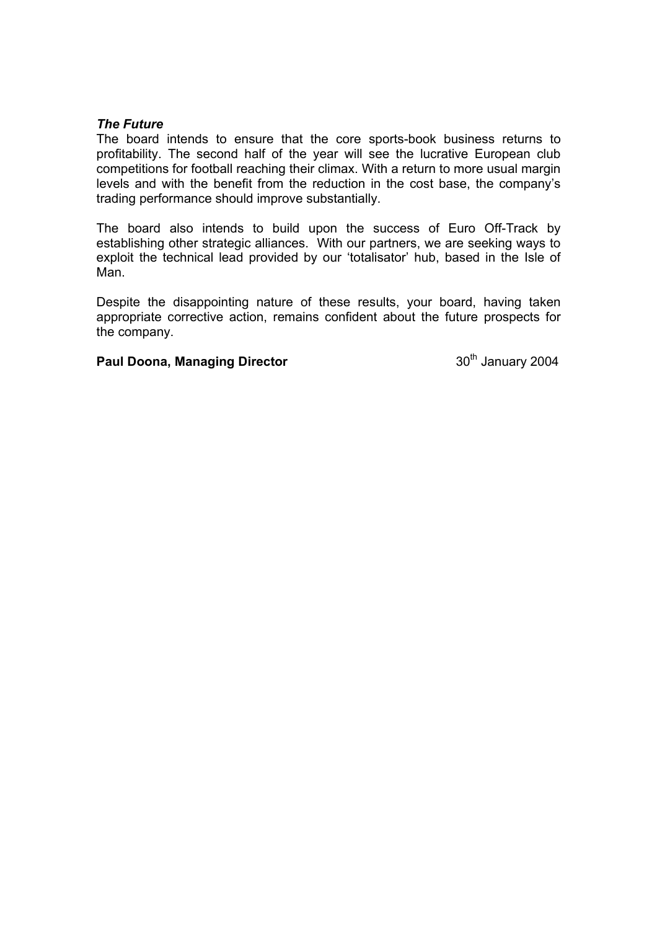#### *The Future*

The board intends to ensure that the core sports-book business returns to profitability. The second half of the year will see the lucrative European club competitions for football reaching their climax. With a return to more usual margin levels and with the benefit from the reduction in the cost base, the company's trading performance should improve substantially.

The board also intends to build upon the success of Euro Off-Track by establishing other strategic alliances. With our partners, we are seeking ways to exploit the technical lead provided by our 'totalisator' hub, based in the Isle of Man.

Despite the disappointing nature of these results, your board, having taken appropriate corrective action, remains confident about the future prospects for the company.

**Paul Doona, Managing Director 1988 Consumer 2004 30th January 2004**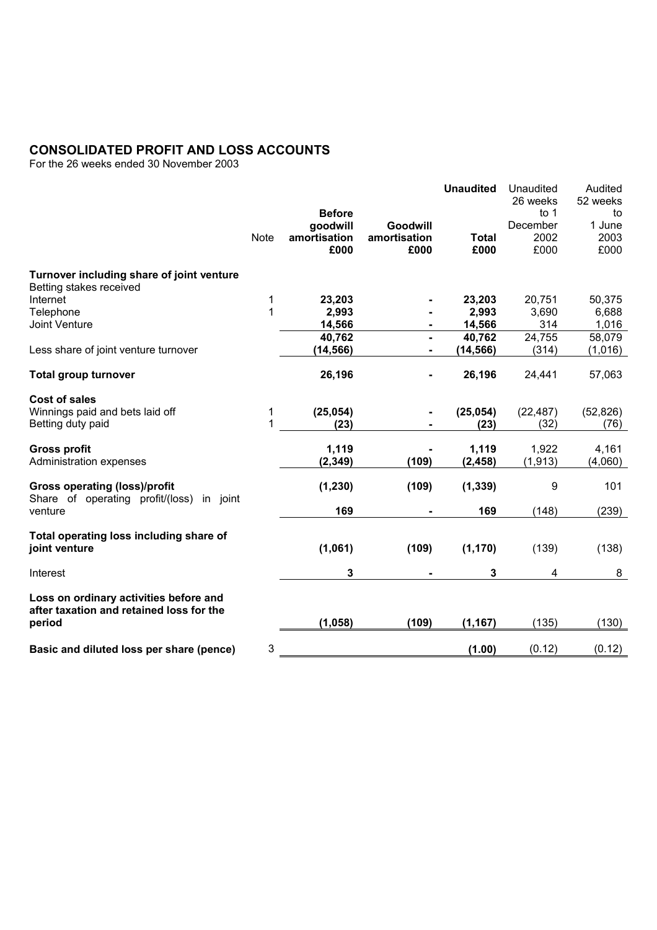### **CONSOLIDATED PROFIT AND LOSS ACCOUNTS**

For the 26 weeks ended 30 November 2003

|                                                                                      |             |               |              | <b>Unaudited</b> | Unaudited          | Audited        |
|--------------------------------------------------------------------------------------|-------------|---------------|--------------|------------------|--------------------|----------------|
|                                                                                      |             | <b>Before</b> |              |                  | 26 weeks<br>to $1$ | 52 weeks<br>to |
|                                                                                      |             | goodwill      | Goodwill     |                  | December           | 1 June         |
|                                                                                      | <b>Note</b> | amortisation  | amortisation | <b>Total</b>     | 2002               | 2003           |
|                                                                                      |             | £000          | £000         | £000             | £000               | £000           |
| Turnover including share of joint venture                                            |             |               |              |                  |                    |                |
| Betting stakes received                                                              |             |               |              |                  |                    |                |
| Internet                                                                             | 1           | 23,203        |              | 23,203           | 20,751             | 50,375         |
| Telephone                                                                            | 1           | 2,993         |              | 2,993            | 3,690              | 6,688          |
| Joint Venture                                                                        |             | 14,566        |              | 14,566           | 314                | 1,016          |
|                                                                                      |             | 40,762        |              | 40,762           | 24,755             | 58,079         |
| Less share of joint venture turnover                                                 |             | (14, 566)     |              | (14, 566)        | (314)              | (1,016)        |
| <b>Total group turnover</b>                                                          |             | 26,196        |              | 26,196           | 24,441             | 57,063         |
| Cost of sales                                                                        |             |               |              |                  |                    |                |
| Winnings paid and bets laid off                                                      | 1           | (25, 054)     |              | (25, 054)        | (22, 487)          | (52, 826)      |
| Betting duty paid                                                                    | 1           | (23)          |              | (23)             | (32)               | (76)           |
| <b>Gross profit</b>                                                                  |             | 1,119         |              | 1,119            | 1,922              | 4,161          |
| Administration expenses                                                              |             | (2, 349)      | (109)        | (2, 458)         | (1, 913)           | (4,060)        |
| <b>Gross operating (loss)/profit</b><br>Share of operating profit/(loss)<br>in joint |             | (1, 230)      | (109)        | (1, 339)         | 9                  | 101            |
| venture                                                                              |             | 169           |              | 169              | (148)              | (239)          |
| Total operating loss including share of                                              |             |               |              |                  |                    |                |
| joint venture                                                                        |             | (1,061)       | (109)        | (1, 170)         | (139)              | (138)          |
| Interest                                                                             |             | 3             |              | 3                | 4                  | 8              |
| Loss on ordinary activities before and<br>after taxation and retained loss for the   |             |               |              |                  |                    |                |
| period                                                                               |             | (1, 058)      | (109)        | (1, 167)         | (135)              | (130)          |
| Basic and diluted loss per share (pence)                                             | 3           |               |              | (1.00)           | (0.12)             | (0.12)         |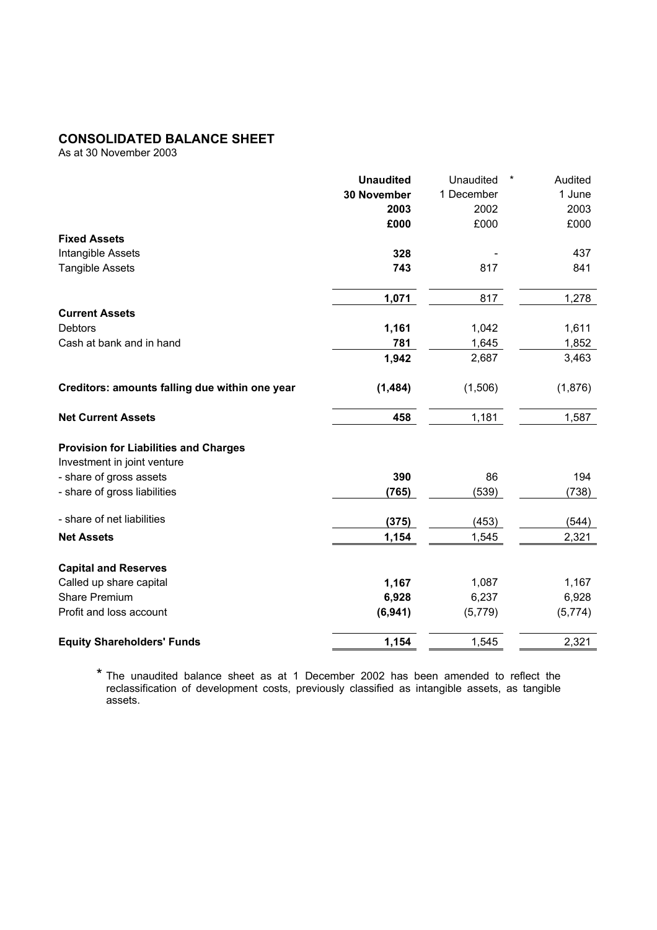### **CONSOLIDATED BALANCE SHEET**

As at 30 November 2003

|                                                | <b>Unaudited</b>   | Unaudited<br>$^\star$ | Audited |
|------------------------------------------------|--------------------|-----------------------|---------|
|                                                | <b>30 November</b> | 1 December            | 1 June  |
|                                                | 2003               | 2002                  | 2003    |
|                                                | £000               | £000                  | £000    |
| <b>Fixed Assets</b>                            |                    |                       |         |
| Intangible Assets                              | 328                |                       | 437     |
| <b>Tangible Assets</b>                         | 743                | 817                   | 841     |
|                                                | 1,071              | 817                   | 1,278   |
| <b>Current Assets</b>                          |                    |                       |         |
| <b>Debtors</b>                                 | 1,161              | 1,042                 | 1,611   |
| Cash at bank and in hand                       | 781                | 1,645                 | 1,852   |
|                                                | 1,942              | 2,687                 | 3,463   |
| Creditors: amounts falling due within one year | (1,484)            | (1,506)               | (1,876) |
| <b>Net Current Assets</b>                      | 458                | 1,181                 | 1,587   |
| <b>Provision for Liabilities and Charges</b>   |                    |                       |         |
| Investment in joint venture                    |                    |                       |         |
| - share of gross assets                        | 390                | 86                    | 194     |
| - share of gross liabilities                   | (765)              | (539)                 | (738)   |
| - share of net liabilities                     | (375)              | (453)                 | (544)   |
| <b>Net Assets</b>                              | 1,154              | 1,545                 | 2,321   |
| <b>Capital and Reserves</b>                    |                    |                       |         |
| Called up share capital                        | 1,167              | 1,087                 | 1,167   |
| <b>Share Premium</b>                           | 6,928              | 6,237                 | 6,928   |
| Profit and loss account                        | (6,941)            | (5,779)               | (5,774) |
| <b>Equity Shareholders' Funds</b>              | 1,154              | 1,545                 | 2,321   |

\* The unaudited balance sheet as at 1 December 2002 has been amended to reflect the reclassification of development costs, previously classified as intangible assets, as tangible assets.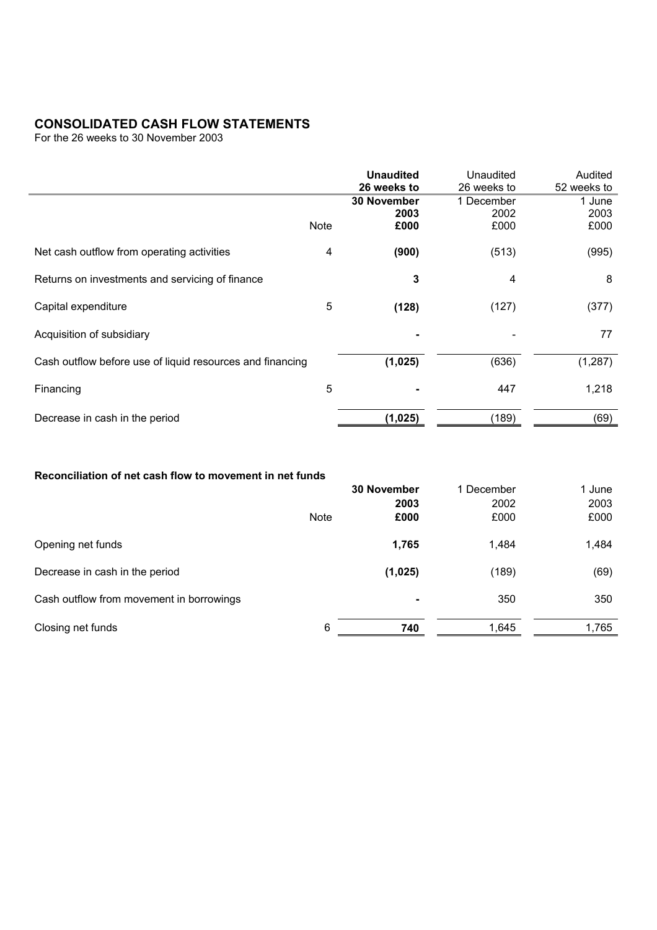# **CONSOLIDATED CASH FLOW STATEMENTS**

For the 26 weeks to 30 November 2003

|                                                           |             | <b>Unaudited</b><br>26 weeks to    | Unaudited<br>26 weeks to   | Audited<br>52 weeks to |
|-----------------------------------------------------------|-------------|------------------------------------|----------------------------|------------------------|
|                                                           | <b>Note</b> | <b>30 November</b><br>2003<br>£000 | 1 December<br>2002<br>£000 | 1 June<br>2003<br>£000 |
| Net cash outflow from operating activities                | 4           | (900)                              | (513)                      | (995)                  |
| Returns on investments and servicing of finance           |             | 3                                  | 4                          | 8                      |
| Capital expenditure                                       | 5           | (128)                              | (127)                      | (377)                  |
| Acquisition of subsidiary                                 |             |                                    |                            | 77                     |
| Cash outflow before use of liquid resources and financing |             | (1,025)                            | (636)                      | (1, 287)               |
| Financing                                                 | 5           |                                    | 447                        | 1,218                  |
| Decrease in cash in the period                            |             | (1,025)                            | (189)                      | (69)                   |

### **Reconciliation of net cash flow to movement in net funds**

|                                          | 30 November<br>2003 |         | 1 December<br>2002 | 1 June<br>2003 |
|------------------------------------------|---------------------|---------|--------------------|----------------|
|                                          | <b>Note</b>         | £000    | £000               | £000           |
| Opening net funds                        |                     | 1,765   | 1,484              | 1,484          |
| Decrease in cash in the period           |                     | (1,025) | (189)              | (69)           |
| Cash outflow from movement in borrowings |                     |         | 350                | 350            |
| Closing net funds                        | 6                   | 740     | 1,645              | 1,765          |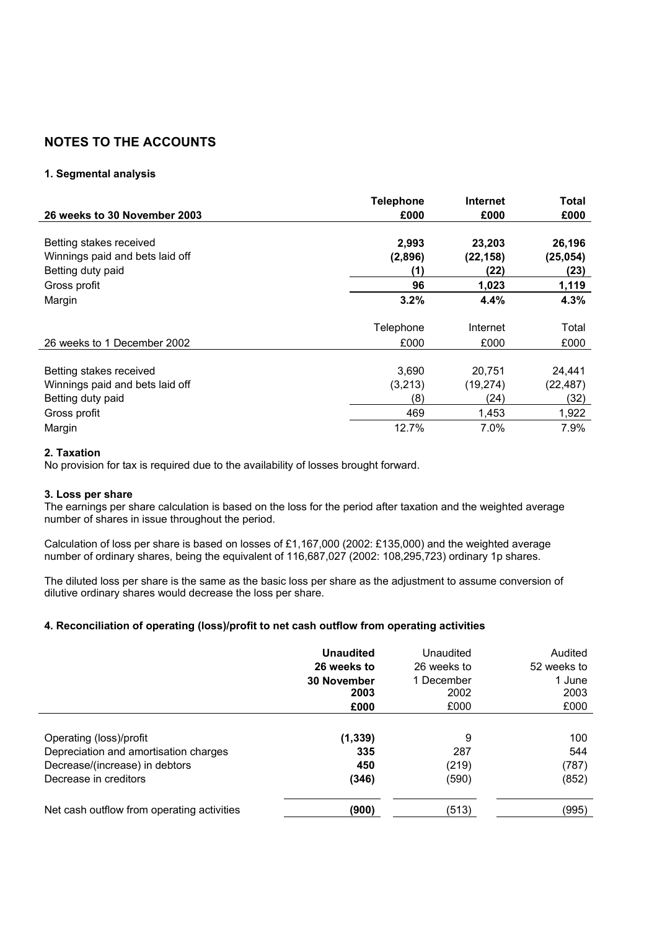# **NOTES TO THE ACCOUNTS**

#### **1. Segmental analysis**

|                                 | <b>Telephone</b> | Internet  | Total     |
|---------------------------------|------------------|-----------|-----------|
| 26 weeks to 30 November 2003    | £000             | £000      | £000      |
|                                 |                  |           |           |
| Betting stakes received         | 2,993            | 23,203    | 26,196    |
| Winnings paid and bets laid off | (2,896)          | (22, 158) | (25, 054) |
| Betting duty paid               | (1)              | (22)      | (23)      |
| Gross profit                    | 96               | 1,023     | 1,119     |
| Margin                          | 3.2%             | 4.4%      | 4.3%      |
|                                 | Telephone        | Internet  | Total     |
| 26 weeks to 1 December 2002     | £000             | £000      | £000      |
|                                 |                  |           |           |
| Betting stakes received         | 3,690            | 20,751    | 24,441    |
| Winnings paid and bets laid off | (3,213)          | (19, 274) | (22, 487) |
| Betting duty paid               | (8)              | (24)      | (32)      |
| Gross profit                    | 469              | 1,453     | 1,922     |
| Margin                          | 12.7%            | 7.0%      | 7.9%      |

#### **2. Taxation**

No provision for tax is required due to the availability of losses brought forward.

#### **3. Loss per share**

The earnings per share calculation is based on the loss for the period after taxation and the weighted average number of shares in issue throughout the period.

Calculation of loss per share is based on losses of £1,167,000 (2002: £135,000) and the weighted average number of ordinary shares, being the equivalent of 116,687,027 (2002: 108,295,723) ordinary 1p shares.

The diluted loss per share is the same as the basic loss per share as the adjustment to assume conversion of dilutive ordinary shares would decrease the loss per share.

#### **4. Reconciliation of operating (loss)/profit to net cash outflow from operating activities**

|                                            | <b>Unaudited</b> | Unaudited   | Audited     |
|--------------------------------------------|------------------|-------------|-------------|
|                                            | 26 weeks to      | 26 weeks to | 52 weeks to |
|                                            | 30 November      | 1 December  | 1 June      |
|                                            | 2003             | 2002        | 2003        |
|                                            | £000             | £000        | £000        |
| Operating (loss)/profit                    | (1, 339)         | 9           | 100         |
| Depreciation and amortisation charges      | 335              | 287         | 544         |
| Decrease/(increase) in debtors             | 450              | (219)       | (787)       |
| Decrease in creditors                      | (346)            | (590)       | (852)       |
| Net cash outflow from operating activities | (900)            | (513)       | (995)       |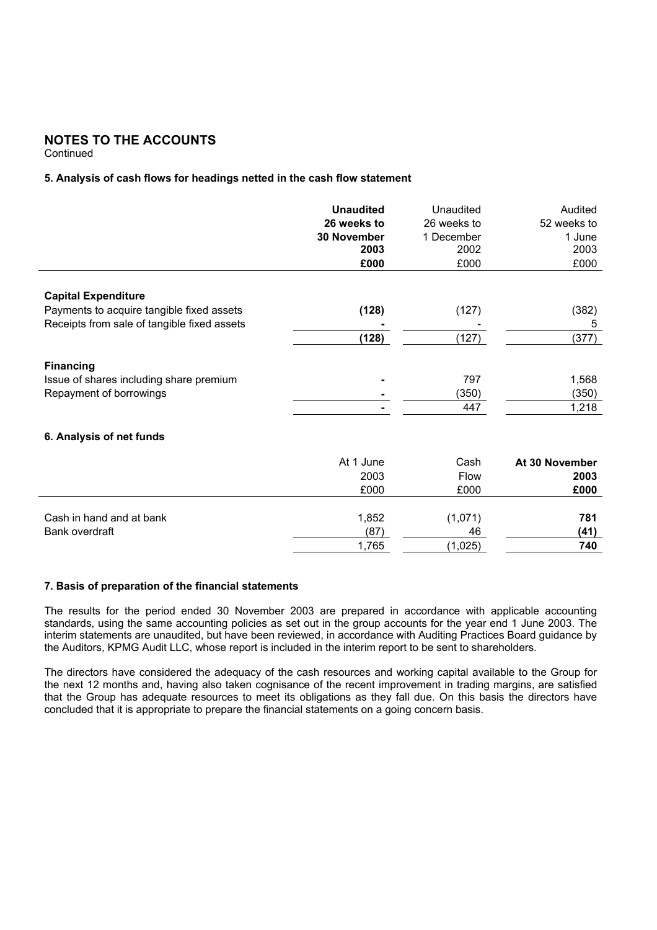# **NOTES TO THE ACCOUNTS**

**Continued** 

#### **5. Analysis of cash flows for headings netted in the cash flow statement**

|                                             | <b>Unaudited</b><br>26 weeks to<br><b>30 November</b><br>2003 | Unaudited<br>26 weeks to<br>1 December<br>2002 | Audited<br>52 weeks to<br>1 June<br>2003 |
|---------------------------------------------|---------------------------------------------------------------|------------------------------------------------|------------------------------------------|
|                                             | £000                                                          | £000                                           | £000                                     |
| <b>Capital Expenditure</b>                  |                                                               |                                                |                                          |
| Payments to acquire tangible fixed assets   | (128)                                                         | (127)                                          | (382)                                    |
| Receipts from sale of tangible fixed assets |                                                               |                                                | 5                                        |
|                                             | (128)                                                         | (127)                                          | (377)                                    |
| <b>Financing</b>                            |                                                               |                                                |                                          |
| Issue of shares including share premium     |                                                               | 797                                            | 1,568                                    |
| Repayment of borrowings                     |                                                               | (350)                                          | (350)                                    |
|                                             |                                                               | 447                                            | 1,218                                    |
| 6. Analysis of net funds                    |                                                               |                                                |                                          |
|                                             | At 1 June                                                     | Cash                                           | At 30 November                           |
|                                             | 2003                                                          | <b>Flow</b>                                    | 2003                                     |
|                                             | £000                                                          | £000                                           | £000                                     |
| Cash in hand and at bank                    | 1,852                                                         | (1,071)                                        | 781                                      |
| Bank overdraft                              | (87)                                                          | 46                                             | (41)                                     |

#### **7. Basis of preparation of the financial statements**

The results for the period ended 30 November 2003 are prepared in accordance with applicable accounting standards, using the same accounting policies as set out in the group accounts for the year end 1 June 2003. The interim statements are unaudited, but have been reviewed, in accordance with Auditing Practices Board guidance by the Auditors, KPMG Audit LLC, whose report is included in the interim report to be sent to shareholders.

1,765 (1,025) **740** 

The directors have considered the adequacy of the cash resources and working capital available to the Group for the next 12 months and, having also taken cognisance of the recent improvement in trading margins, are satisfied that the Group has adequate resources to meet its obligations as they fall due. On this basis the directors have concluded that it is appropriate to prepare the financial statements on a going concern basis.